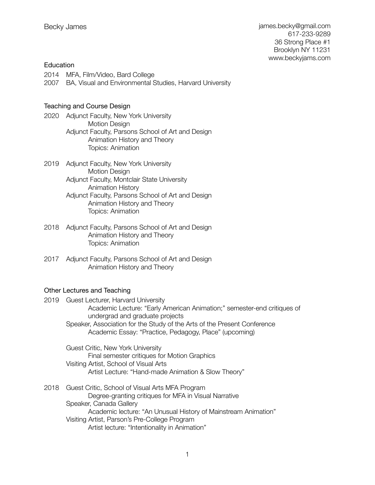# **Education**

2014 MFA, Film/Video, Bard College 2007 BA, Visual and Environmental Studies, Harvard University

# Teaching and Course Design

- 2020 Adjunct Faculty, New York University Motion Design Adjunct Faculty, Parsons School of Art and Design Animation History and Theory Topics: Animation
- 2019 Adjunct Faculty, New York University Motion Design Adjunct Faculty, Montclair State University Animation History Adjunct Faculty, Parsons School of Art and Design Animation History and Theory Topics: Animation
- 2018 Adjunct Faculty, Parsons School of Art and Design Animation History and Theory Topics: Animation
- 2017 Adjunct Faculty, Parsons School of Art and Design Animation History and Theory

# Other Lectures and Teaching

- 2019 Guest Lecturer, Harvard University Academic Lecture: "Early American Animation;" semester-end critiques of undergrad and graduate projects Speaker, Association for the Study of the Arts of the Present Conference Academic Essay: "Practice, Pedagogy, Place" (upcoming)
	- Guest Critic, New York University Final semester critiques for Motion Graphics Visiting Artist, School of Visual Arts Artist Lecture: "Hand-made Animation & Slow Theory"
- 2018 Guest Critic, School of Visual Arts MFA Program Degree-granting critiques for MFA in Visual Narrative Speaker, Canada Gallery Academic lecture: "An Unusual History of Mainstream Animation" Visiting Artist, Parson's Pre-College Program Artist lecture: "Intentionality in Animation"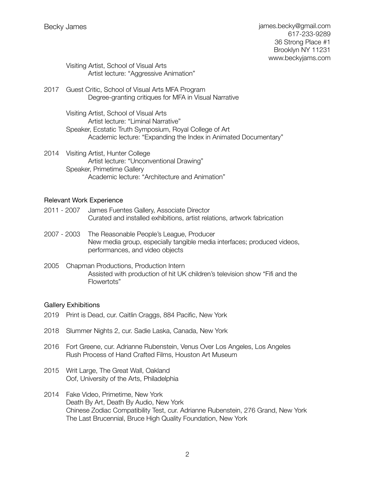Visiting Artist, School of Visual Arts Artist lecture: "Aggressive Animation"

2017 Guest Critic, School of Visual Arts MFA Program Degree-granting critiques for MFA in Visual Narrative

> Visiting Artist, School of Visual Arts Artist lecture: "Liminal Narrative" Speaker, Ecstatic Truth Symposium, Royal College of Art Academic lecture: "Expanding the Index in Animated Documentary"

2014 Visiting Artist, Hunter College Artist lecture: "Unconventional Drawing" Speaker, Primetime Gallery Academic lecture: "Architecture and Animation"

# Relevant Work Experience

- 2011 2007 James Fuentes Gallery, Associate Director Curated and installed exhibitions, artist relations, artwork fabrication
- 2007 2003 The Reasonable People's League, Producer New media group, especially tangible media interfaces; produced videos, performances, and video objects
- 2005 Chapman Productions, Production Intern Assisted with production of hit UK children's television show "Fifi and the Flowertots"

# Gallery Exhibitions

- 2019 Print is Dead, cur. Caitlin Craggs, 884 Pacific, New York
- 2018 Slummer Nights 2, cur. Sadie Laska, Canada, New York
- 2016 Fort Greene, cur. Adrianne Rubenstein, Venus Over Los Angeles, Los Angeles Rush Process of Hand Crafted Films, Houston Art Museum
- 2015 Writ Large, The Great Wall, Oakland Oof, University of the Arts, Philadelphia
- 2014 Fake Video, Primetime, New York Death By Art, Death By Audio, New York Chinese Zodiac Compatibility Test, cur. Adrianne Rubenstein, 276 Grand, New York The Last Brucennial, Bruce High Quality Foundation, New York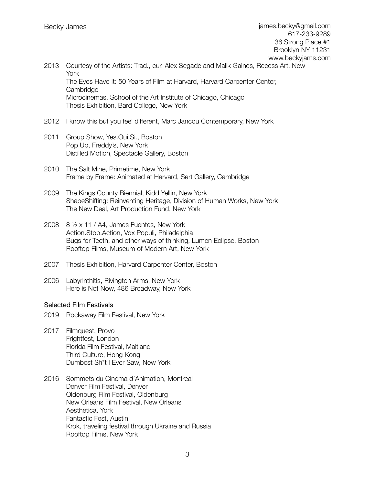- 2013 Courtesy of the Artists: Trad., cur. Alex Segade and Malik Gaines, Recess Art, New York The Eyes Have It: 50 Years of Film at Harvard, Harvard Carpenter Center, **Cambridge** Microcinemas, School of the Art Institute of Chicago, Chicago Thesis Exhibition, Bard College, New York
- 2012 I know this but you feel different, Marc Jancou Contemporary, New York
- 2011 Group Show, Yes.Oui.Si., Boston Pop Up, Freddy's, New York Distilled Motion, Spectacle Gallery, Boston
- 2010 The Salt Mine, Primetime, New York Frame by Frame: Animated at Harvard, Sert Gallery, Cambridge
- 2009 The Kings County Biennial, Kidd Yellin, New York ShapeShifting: Reinventing Heritage, Division of Human Works, New York The New Deal, Art Production Fund, New York
- 2008 8 ½ x 11 / A4, James Fuentes, New York Action.Stop.Action, Vox Populi, Philadelphia Bugs for Teeth, and other ways of thinking, Lumen Eclipse, Boston Rooftop Films, Museum of Modern Art, New York
- 2007 Thesis Exhibition, Harvard Carpenter Center, Boston
- 2006 Labyrinthitis, Rivington Arms, New York Here is Not Now, 486 Broadway, New York

# Selected Film Festivals

- 2019 Rockaway Film Festival, New York
- 2017 Filmquest, Provo Frightfest, London Florida Film Festival, Maitland Third Culture, Hong Kong Dumbest Sh\*t I Ever Saw, New York
- 2016 Sommets du Cinema d'Animation, Montreal Denver Film Festival, Denver Oldenburg Film Festival, Oldenburg New Orleans Film Festival, New Orleans Aesthetica, York Fantastic Fest, Austin Krok, traveling festival through Ukraine and Russia Rooftop Films, New York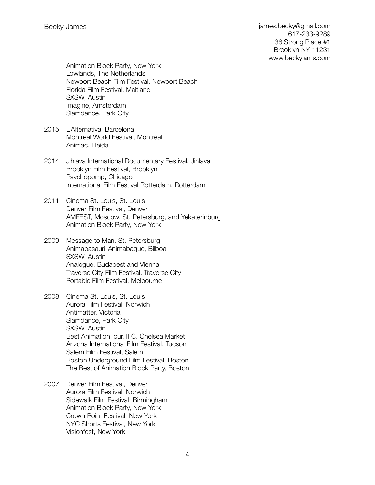james.becky@gmail.com 617-233-9289 36 Strong Place #1 Brooklyn NY 11231 [www.beckyjams.com](http://www.beckyjams.com)

Animation Block Party, New York Lowlands, The Netherlands Newport Beach Film Festival, Newport Beach Florida Film Festival, Maitland SXSW, Austin Imagine, Amsterdam Slamdance, Park City

- 2015 L'Alternativa, Barcelona Montreal World Festival, Montreal Animac, Lleida
- 2014 Jihlava International Documentary Festival, Jihlava Brooklyn Film Festival, Brooklyn Psychopomp, Chicago International Film Festival Rotterdam, Rotterdam
- 2011 Cinema St. Louis, St. Louis Denver Film Festival, Denver AMFEST, Moscow, St. Petersburg, and Yekaterinburg Animation Block Party, New York
- 2009 Message to Man, St. Petersburg Animabasauri-Animabaque, Bilboa SXSW, Austin Analogue, Budapest and Vienna Traverse City Film Festival, Traverse City Portable Film Festival, Melbourne
- 2008 Cinema St. Louis, St. Louis Aurora Film Festival, Norwich Antimatter, Victoria Slamdance, Park City SXSW, Austin Best Animation, cur. IFC, Chelsea Market Arizona International Film Festival, Tucson Salem Film Festival, Salem Boston Underground Film Festival, Boston The Best of Animation Block Party, Boston
- 2007 Denver Film Festival, Denver Aurora Film Festival, Norwich Sidewalk Film Festival, Birmingham Animation Block Party, New York Crown Point Festival, New York NYC Shorts Festival, New York Visionfest, New York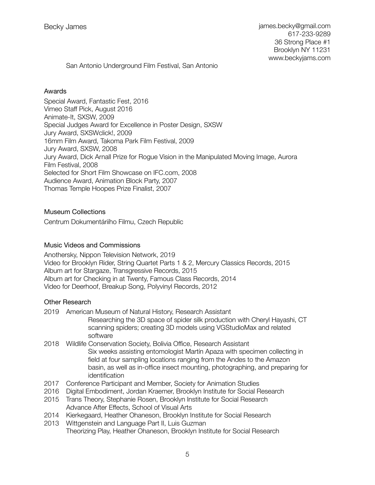San Antonio Underground Film Festival, San Antonio

### Awards

Special Award, Fantastic Fest, 2016 Vimeo Staff Pick, August 2016 Animate-It, SXSW, 2009 Special Judges Award for Excellence in Poster Design, SXSW Jury Award, SXSWclick!, 2009 16mm Film Award, Takoma Park Film Festival, 2009 Jury Award, SXSW, 2008 Jury Award, Dick Arnall Prize for Rogue Vision in the Manipulated Moving Image, Aurora Film Festival, 2008 Selected for Short Film Showcase on IFC.com, 2008 Audience Award, Animation Block Party, 2007 Thomas Temple Hoopes Prize Finalist, 2007

# Museum Collections

Centrum Dokumentáriího Filmu, Czech Republic

# Music Videos and Commissions

Anothersky, Nippon Television Network, 2019 Video for Brooklyn Rider, String Quartet Parts 1 & 2, Mercury Classics Records, 2015 Album art for Stargaze, Transgressive Records, 2015 Album art for Checking in at Twenty, Famous Class Records, 2014 Video for Deerhoof, Breakup Song, Polyvinyl Records, 2012

# Other Research

- 2019 American Museum of Natural History, Research Assistant Researching the 3D space of spider silk production with Cheryl Hayashi, CT scanning spiders; creating 3D models using VGStudioMax and related software
- 2018 Wildlife Conservation Society, Bolivia Office, Research Assistant Six weeks assisting entomologist Martín Apaza with specimen collecting in field at four sampling locations ranging from the Andes to the Amazon basin, as well as in-office insect mounting, photographing, and preparing for identification
- 2017 Conference Participant and Member, Society for Animation Studies
- 2016 Digital Embodiment, Jordan Kraemer, Brooklyn Institute for Social Research
- 2015 Trans Theory, Stephanie Rosen, Brooklyn Institute for Social Research Advance After Effects, School of Visual Arts
- 2014 Kierkegaard, Heather Ohaneson, Brooklyn Institute for Social Research
- 2013 Wittgenstein and Language Part II, Luis Guzman Theorizing Play, Heather Ohaneson, Brooklyn Institute for Social Research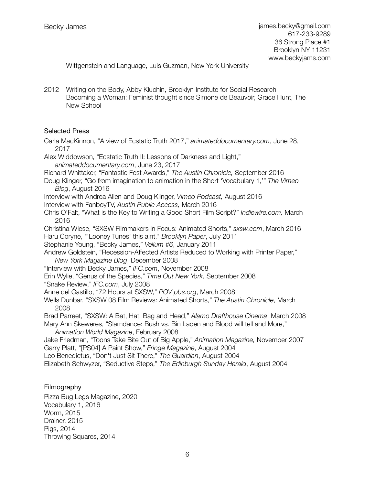Wittgenstein and Language, Luis Guzman, New York University

2012 Writing on the Body, Abby Kluchin, Brooklyn Institute for Social Research Becoming a Woman: Feminist thought since Simone de Beauvoir, Grace Hunt, The New School

#### Selected Press

Carla MacKinnon, "A view of Ecstatic Truth 2017," *[animateddocumentary.com](http://animateddocumentary.com),* June 28, 2017

Alex Widdowson, "Ecstatic Truth II: Lessons of Darkness and Light," *[animateddocumentary.com](http://animateddocumentary.com)*, June 23, 2017

Richard Whittaker, "Fantastic Fest Awards," *The Austin Chronicle,* September 2016

Doug Klinger, "Go from imagination to animation in the Short 'Vocabulary 1,'" *The Vimeo Blog*, August 2016

Interview with Andrea Allen and Doug Klinger, *Vimeo Podcast,* August 2016

Interview with FanboyTV, *Austin Public Access,* March 2016

Chris O'Falt, "What is the Key to Writing a Good Short Film Script?" *Indiewire.com,* March 2016

Christina Wiese, "SXSW Filmmakers in Focus: Animated Shorts," *sxsw.com*, March 2016 Haru Coryne, "'Looney Tunes' this aint," *Brooklyn Paper*, July 2011

Stephanie Young, "Becky James," *Vellum #6*, January 2011

Andrew Goldstein, "Recession-Affected Artists Reduced to Working with Printer Paper," *New York Magazine Blog*, December 2008

"Interview with Becky James," *IFC.com*, November 2008

Erin Wylie, "Genus of the Species," *Time Out New York,* September 2008

"Snake Review," *IFC.com*, July 2008

Anne del Castillo, "72 Hours at SXSW," *POV pbs.org*, March 2008

Wells Dunbar, "SXSW 08 Film Reviews: Animated Shorts," *The Austin Chronicle*, March 2008

Brad Parreet, "SXSW: A Bat, Hat, Bag and Head," *Alamo Drafthouse Cinema*, March 2008 Mary Ann Skeweres, "Slamdance: Bush vs. Bin Laden and Blood will tell and More,"

*Animation World Magazine*, February 2008

Jake Friedman, "Toons Take Bite Out of Big Apple," *Animation Magazine,* November 2007 Garry Platt, "[PS04] A Paint Show," *Fringe Magazine*, August 2004

Leo Benedictus, "Don't Just Sit There," *The Guardian*, August 2004

Elizabeth Schwyzer, "Seductive Steps," *The Edinburgh Sunday Herald*, August 2004

#### Filmography

Pizza Bug Legs Magazine, 2020 Vocabulary 1, 2016 Worm, 2015 Drainer, 2015 Pigs, 2014 Throwing Squares, 2014